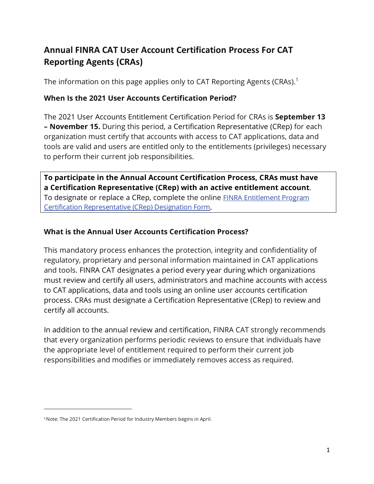# **Annual FINRA CAT User Account Certification Process For CAT Reporting Agents (CRAs)**

The information on this page applies only to CAT Reporting Agents (CRAs).<sup>[1](#page-0-0)</sup>

### **When Is the 2021 User Accounts Certification Period?**

The 2021 User Accoun[ts Entitlement Certification P](https://finra.sharepoint.com/sites/RADCommTracker/Shared%20Documents/General/CR%20Certification/add%20link)eriod for CRAs is **September 13 – November 15.** During this period, a Certification Representative (CRep) for each organization must certify that accounts with access to CAT applications, data and tools are valid and users are entitled only to the entitlements (privileges) necessary to perform their current job responsibilities.

**To participate in the Annual Account Certification Process, CRAs must have a Certification Representative (CRep) with an active entitlement account**. To designate or replace a CRep, complete the online [FINRA Entitlement Program](https://na2.docusign.net/Member/PowerFormSigning.aspx?PowerFormId=22bdf925-1a10-4a91-bd6c-166f76f13bf7&env=na2&acct=fa8ca711-f4d5-41ea-a024-3ba943b5f231&v=2) [Certification Representative \(CRep\) Designation Form.](https://na2.docusign.net/Member/PowerFormSigning.aspx?PowerFormId=22bdf925-1a10-4a91-bd6c-166f76f13bf7&env=na2&acct=fa8ca711-f4d5-41ea-a024-3ba943b5f231&v=2)

## **What is the Annual User Accounts Certification Process?**

This mandatory process enhances the protection, integrity and confidentiality of regulatory, proprietary and personal information maintained in CAT applications and tools. FINRA CAT designates a period every year during which organizations must review and certify all users, administrators and machine accounts with access to CAT applications, data and tools using an online user accounts certification process. CRAs must designate a Certification Representative (CRep) to review and certify all accounts.

In addition to the annual review and certification, FINRA CAT strongly recommends that every organization performs periodic reviews to ensure that individuals have the appropriate level of entitlement required to perform their current job responsibilities and modifies or immediately removes access as required.

<span id="page-0-0"></span><sup>1</sup>Note: The 2021 Certification Period for Industry Members begins in April.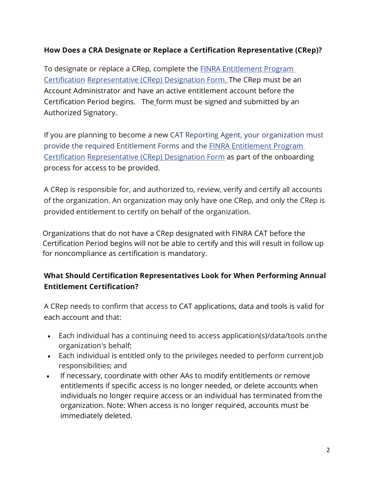#### **How Does a CRA Designate or Replace a Certification Representative (CRep)?**

To designate or replace a CRep, complete the **FINRA Entitlement Program** [Certification](https://na2.docusign.net/Member/PowerFormSigning.aspx?PowerFormId=22bdf925-1a10-4a91-bd6c-166f76f13bf7&env=na2&acct=fa8ca711-f4d5-41ea-a024-3ba943b5f231&v=2) [Representative \(CRep\) Designation Form.](https://na2.docusign.net/Member/PowerFormSigning.aspx?PowerFormId=22bdf925-1a10-4a91-bd6c-166f76f13bf7&env=na2&acct=fa8ca711-f4d5-41ea-a024-3ba943b5f231&v=2) The CRep must be an Account Administrator and have an active entitlement account before the Certification Period begins. The form must be signed and submitted by an Authorized Signatory.

If you are planning to become a new CAT Reporting Agent, your organization must provide the required Entitlement Forms and the [FINRA Entitlement Program](https://na2.docusign.net/Member/PowerFormSigning.aspx?PowerFormId=22bdf925-1a10-4a91-bd6c-166f76f13bf7&env=na2&acct=fa8ca711-f4d5-41ea-a024-3ba943b5f231&v=2)  [Certification](https://na2.docusign.net/Member/PowerFormSigning.aspx?PowerFormId=22bdf925-1a10-4a91-bd6c-166f76f13bf7&env=na2&acct=fa8ca711-f4d5-41ea-a024-3ba943b5f231&v=2) [Representative \(CRep\) Designation Form](https://na2.docusign.net/Member/PowerFormSigning.aspx?PowerFormId=22bdf925-1a10-4a91-bd6c-166f76f13bf7&env=na2&acct=fa8ca711-f4d5-41ea-a024-3ba943b5f231&v=2) as part of the onboarding process for access to be provided.

A CRep is responsible for, and authorized to, review, verify and certify all accounts of the organization. An organization may only have one CRep, and only the CRep is provided entitlement to certify on behalf of the organization.

Organizations that do not have a CRep designated with FINRA CAT before the Certification Period begins will not be able to certify and this will result in follow up for noncompliance as certification is mandatory.

### **What Should Certification Representatives Look for When Performing Annual Entitlement Certification?**

A CRep needs to confirm that access to CAT applications, data and tools is valid for each account and that:

- Each individual has a continuing need to access application(s)/data/tools onthe organization's behalf;
- Each individual is entitled only to the privileges needed to perform currentjob responsibilities; and
- If necessary, coordinate with other AAs to modify entitlements or remove entitlements if specific access is no longer needed, or delete accounts when individuals no longer require access or an individual has terminated from the organization. Note: When access is no longer required, accounts must be immediately deleted.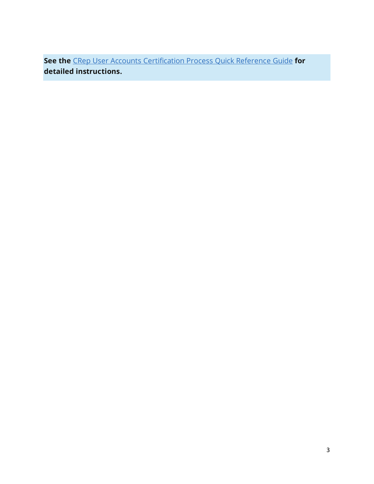**See the** [CRep User Accounts Certification Process Quick Reference Guide](http://www.finra.org/sites/default/files/2020-08/crep-user-accounts-certification-process-quick-reference-guide.pdf) **for detailed instructions.**